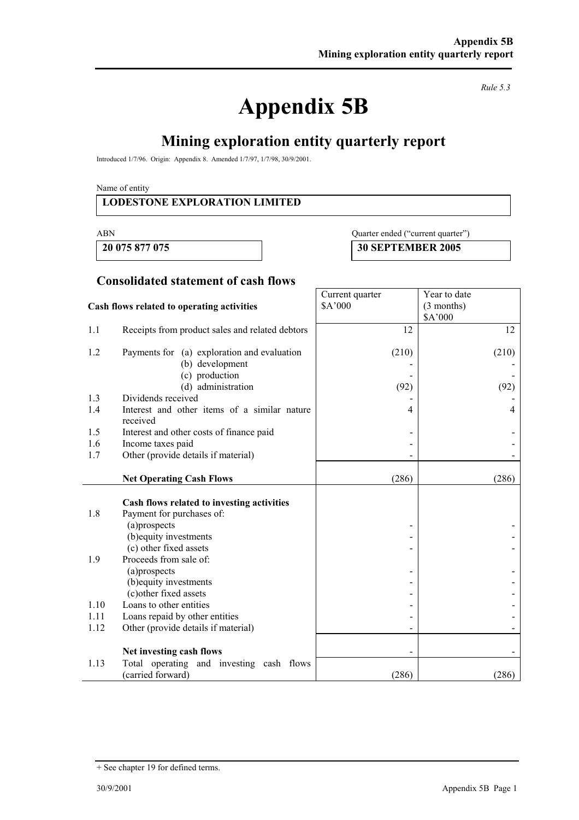# **Appendix 5B**

*Rule 5.3* 

# **Mining exploration entity quarterly report**

Introduced 1/7/96. Origin: Appendix 8. Amended 1/7/97, 1/7/98, 30/9/2001.

Name of entity

#### **LODESTONE EXPLORATION LIMITED**

#### ABN Quarter ended ("current quarter")

**20 075 877 075 30 SEPTEMBER 2005** 

Year to date (3 months)

Current quarter \$A'000

#### **Consolidated statement of cash flows**

#### **Cash flows related to operating activities**

|      |                                                                         |                              | \$A'000 |
|------|-------------------------------------------------------------------------|------------------------------|---------|
| 1.1  | Receipts from product sales and related debtors                         | 12                           | 12      |
| 1.2  | Payments for (a) exploration and evaluation                             | (210)                        | (210)   |
|      | (b) development                                                         |                              |         |
|      | (c) production                                                          |                              |         |
|      | (d) administration                                                      | (92)                         | (92)    |
| 1.3  | Dividends received                                                      |                              |         |
| 1.4  | Interest and other items of a similar nature<br>received                | 4                            | 4       |
| 1.5  | Interest and other costs of finance paid                                |                              |         |
| 1.6  | Income taxes paid                                                       |                              |         |
| 1.7  | Other (provide details if material)                                     |                              |         |
|      |                                                                         |                              |         |
|      | <b>Net Operating Cash Flows</b>                                         | (286)                        | (286)   |
| 1.8  | Cash flows related to investing activities<br>Payment for purchases of: |                              |         |
|      | (a)prospects                                                            | $\overline{a}$               |         |
|      | (b) equity investments                                                  |                              |         |
|      | (c) other fixed assets                                                  |                              |         |
| 1.9  | Proceeds from sale of:                                                  |                              |         |
|      | (a)prospects                                                            |                              |         |
|      | (b) equity investments                                                  |                              |         |
|      | (c) other fixed assets                                                  |                              |         |
| 1.10 | Loans to other entities                                                 |                              |         |
| 1.11 | Loans repaid by other entities                                          |                              |         |
| 1.12 | Other (provide details if material)                                     | $\qquad \qquad \blacksquare$ |         |
|      | Net investing cash flows                                                |                              |         |
| 1.13 | Total operating and investing cash flows                                |                              |         |
|      | (carried forward)                                                       | (286)                        | (286)   |

<sup>+</sup> See chapter 19 for defined terms.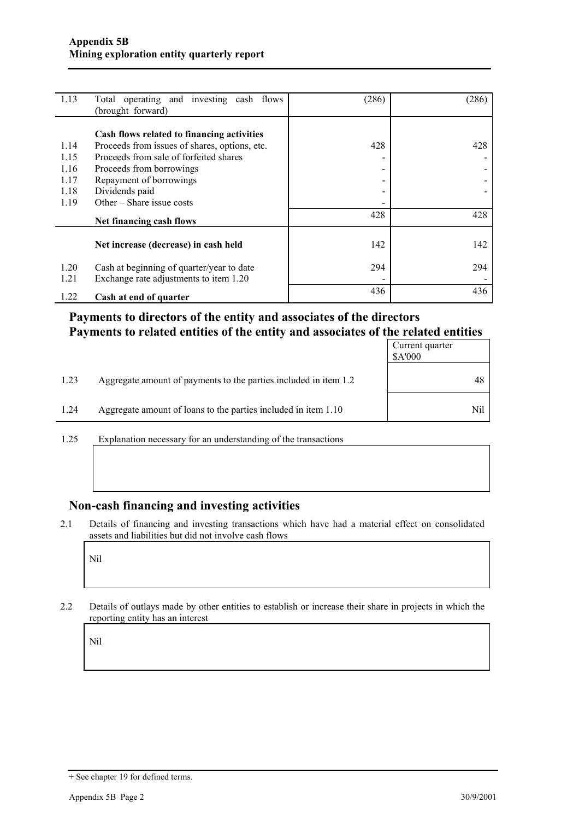| 1.13         | Total operating and investing cash flows<br>(brought forward)                       | (286)                    | (286) |
|--------------|-------------------------------------------------------------------------------------|--------------------------|-------|
|              | Cash flows related to financing activities                                          |                          |       |
| 1.14         | Proceeds from issues of shares, options, etc.                                       | 428                      | 428   |
| 1.15         | Proceeds from sale of forfeited shares                                              | $\overline{\phantom{0}}$ |       |
| 1.16         | Proceeds from borrowings                                                            | ۰.                       |       |
| 1.17         | Repayment of borrowings                                                             | -                        |       |
| 1.18         | Dividends paid                                                                      | -                        |       |
| 1.19         | Other – Share issue costs                                                           |                          |       |
|              | Net financing cash flows                                                            | 428                      | 428   |
|              | Net increase (decrease) in cash held                                                | 142                      | 142   |
| 1.20<br>1.21 | Cash at beginning of quarter/year to date<br>Exchange rate adjustments to item 1.20 | 294                      | 294   |
| 1.22         | Cash at end of quarter                                                              | 436                      | 436   |

## **Payments to directors of the entity and associates of the directors Payments to related entities of the entity and associates of the related entities**

|      |                                                                  | Current quarter<br>\$A'000 |
|------|------------------------------------------------------------------|----------------------------|
| 1.23 | Aggregate amount of payments to the parties included in item 1.2 | 48                         |
| 1.24 | Aggregate amount of loans to the parties included in item 1.10   | Nil                        |

1.25 Explanation necessary for an understanding of the transactions

#### **Non-cash financing and investing activities**

2.1 Details of financing and investing transactions which have had a material effect on consolidated assets and liabilities but did not involve cash flows

Nil

2.2 Details of outlays made by other entities to establish or increase their share in projects in which the reporting entity has an interest

Nil

<sup>+</sup> See chapter 19 for defined terms.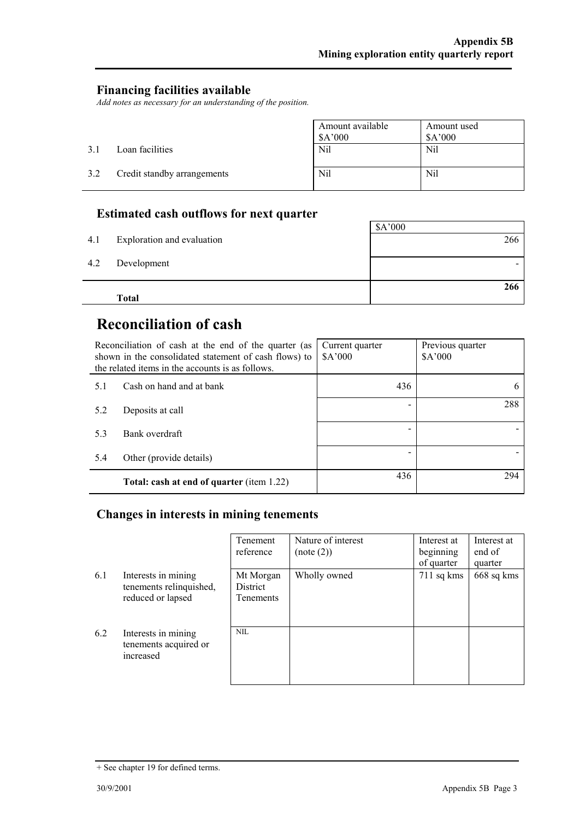#### **Financing facilities available**

*Add notes as necessary for an understanding of the position.* 

|     |                             | Amount available<br>\$A'000 | Amount used<br>A'000 |
|-----|-----------------------------|-----------------------------|----------------------|
| 3.1 | Loan facilities             | Nil                         | Nil                  |
| 3.2 | Credit standby arrangements | Nil                         | Nil                  |

## **Estimated cash outflows for next quarter**

| 4.1 | Exploration and evaluation | \$A'000<br>266 |
|-----|----------------------------|----------------|
| 4.2 | Development                |                |
|     | <b>Total</b>               | 266            |

# **Reconciliation of cash**

| Reconciliation of cash at the end of the quarter (as<br>shown in the consolidated statement of cash flows) to<br>the related items in the accounts is as follows. |                                           | Current quarter<br>\$A'000 | Previous quarter<br>\$A'000 |
|-------------------------------------------------------------------------------------------------------------------------------------------------------------------|-------------------------------------------|----------------------------|-----------------------------|
| 5.1                                                                                                                                                               | Cash on hand and at bank                  | 436                        |                             |
| 5.2                                                                                                                                                               | Deposits at call                          |                            | 288                         |
| 5.3                                                                                                                                                               | Bank overdraft                            |                            |                             |
| 5.4                                                                                                                                                               | Other (provide details)                   |                            |                             |
|                                                                                                                                                                   | Total: cash at end of quarter (item 1.22) | 436                        | 294                         |

## **Changes in interests in mining tenements**

|     |                                                                     | Tenement<br>reference                     | Nature of interest<br>(note (2)) | Interest at<br>beginning<br>of quarter | Interest at<br>end of<br>quarter |
|-----|---------------------------------------------------------------------|-------------------------------------------|----------------------------------|----------------------------------------|----------------------------------|
| 6.1 | Interests in mining<br>tenements relinquished,<br>reduced or lapsed | Mt Morgan<br>District<br><b>Tenements</b> | Wholly owned                     | $711$ sq kms                           | 668 sq kms                       |
| 6.2 | Interests in mining<br>tenements acquired or<br>increased           | <b>NIL</b>                                |                                  |                                        |                                  |

<sup>+</sup> See chapter 19 for defined terms.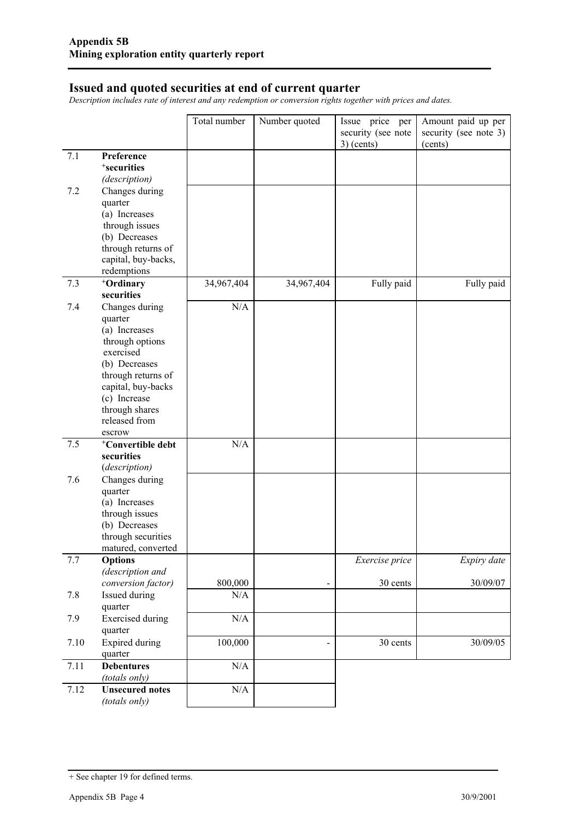#### **Issued and quoted securities at end of current quarter**

*Description includes rate of interest and any redemption or conversion rights together with prices and dates.* 

|      |                                         | Total number | Number quoted                | Issue price per                    | Amount paid up per               |
|------|-----------------------------------------|--------------|------------------------------|------------------------------------|----------------------------------|
|      |                                         |              |                              | security (see note<br>$3)$ (cents) | security (see note 3)<br>(cents) |
| 7.1  | Preference                              |              |                              |                                    |                                  |
|      | <sup>+</sup> securities                 |              |                              |                                    |                                  |
|      | (description)                           |              |                              |                                    |                                  |
| 7.2  | Changes during                          |              |                              |                                    |                                  |
|      | quarter                                 |              |                              |                                    |                                  |
|      | (a) Increases                           |              |                              |                                    |                                  |
|      | through issues<br>(b) Decreases         |              |                              |                                    |                                  |
|      | through returns of                      |              |                              |                                    |                                  |
|      | capital, buy-backs,                     |              |                              |                                    |                                  |
|      | redemptions                             |              |                              |                                    |                                  |
| 7.3  | +Ordinary                               | 34,967,404   | 34,967,404                   | Fully paid                         | Fully paid                       |
|      | securities                              |              |                              |                                    |                                  |
| 7.4  | Changes during                          | N/A          |                              |                                    |                                  |
|      | quarter                                 |              |                              |                                    |                                  |
|      | (a) Increases                           |              |                              |                                    |                                  |
|      | through options                         |              |                              |                                    |                                  |
|      | exercised<br>(b) Decreases              |              |                              |                                    |                                  |
|      | through returns of                      |              |                              |                                    |                                  |
|      | capital, buy-backs                      |              |                              |                                    |                                  |
|      | (c) Increase                            |              |                              |                                    |                                  |
|      | through shares                          |              |                              |                                    |                                  |
|      | released from                           |              |                              |                                    |                                  |
|      | escrow                                  |              |                              |                                    |                                  |
| 7.5  | <sup>+</sup> Convertible debt           | N/A          |                              |                                    |                                  |
|      | securities                              |              |                              |                                    |                                  |
| 7.6  | (description)<br>Changes during         |              |                              |                                    |                                  |
|      | quarter                                 |              |                              |                                    |                                  |
|      | (a) Increases                           |              |                              |                                    |                                  |
|      | through issues                          |              |                              |                                    |                                  |
|      | (b) Decreases                           |              |                              |                                    |                                  |
|      | through securities                      |              |                              |                                    |                                  |
|      | matured, converted                      |              |                              |                                    |                                  |
| 7.7  | <b>Options</b>                          |              |                              | Exercise price                     | Expiry date                      |
|      | (description and                        | 800,000      |                              | 30 cents                           | 30/09/07                         |
| 7.8  | conversion factor)<br>Issued during     | N/A          | $\qquad \qquad \blacksquare$ |                                    |                                  |
|      | quarter                                 |              |                              |                                    |                                  |
| 7.9  | <b>Exercised</b> during                 | N/A          |                              |                                    |                                  |
|      | quarter                                 |              |                              |                                    |                                  |
| 7.10 | <b>Expired during</b>                   | 100,000      | $\overline{\phantom{a}}$     | 30 cents                           | 30/09/05                         |
|      | quarter                                 |              |                              |                                    |                                  |
| 7.11 | <b>Debentures</b>                       | $\rm N/A$    |                              |                                    |                                  |
|      | (totals only)                           |              |                              |                                    |                                  |
| 7.12 | <b>Unsecured notes</b><br>(totals only) | $\rm N/A$    |                              |                                    |                                  |

<sup>+</sup> See chapter 19 for defined terms.